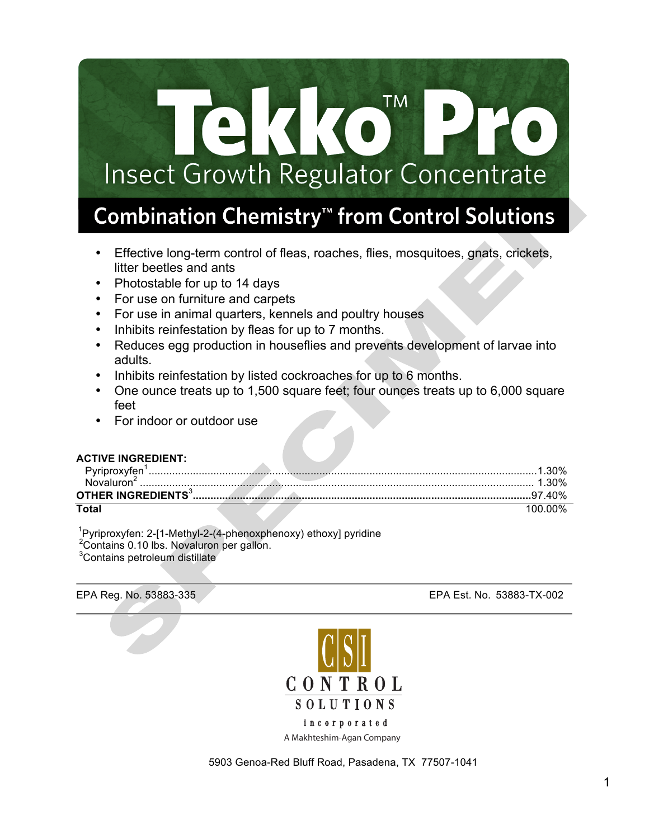# **TM** 233 Insect Growth Regulator Concentrate

# Combination Chemistry<sup>™</sup> from Control Solutions

- Effective long-term control of fleas, roaches, flies, mosquitoes, gnats, crickets, litter beetles and ants
- Photostable for up to 14 days
- For use on furniture and carpets
- For use in animal quarters, kennels and poultry houses
- Inhibits reinfestation by fleas for up to 7 months.
- Reduces egg production in houseflies and prevents development of larvae into adults.
- Inhibits reinfestation by listed cockroaches for up to 6 months.
- One ounce treats up to 1,500 square feet; four ounces treats up to 6,000 square feet
- For indoor or outdoor use

#### **ACTIVE INGREDIENT:**

| Total |  |
|-------|--|

<sup>1</sup>Pyriproxyfen: 2-[1-Methyl-2-(4-phenoxphenoxy) ethoxy] pyridine <sup>2</sup> Contains 0.10 lbs. Novaluron per gallon.

<sup>3</sup>Contains petroleum distillate





5903 Genoa-Red Bluff Road, Pasadena, TX 77507-1041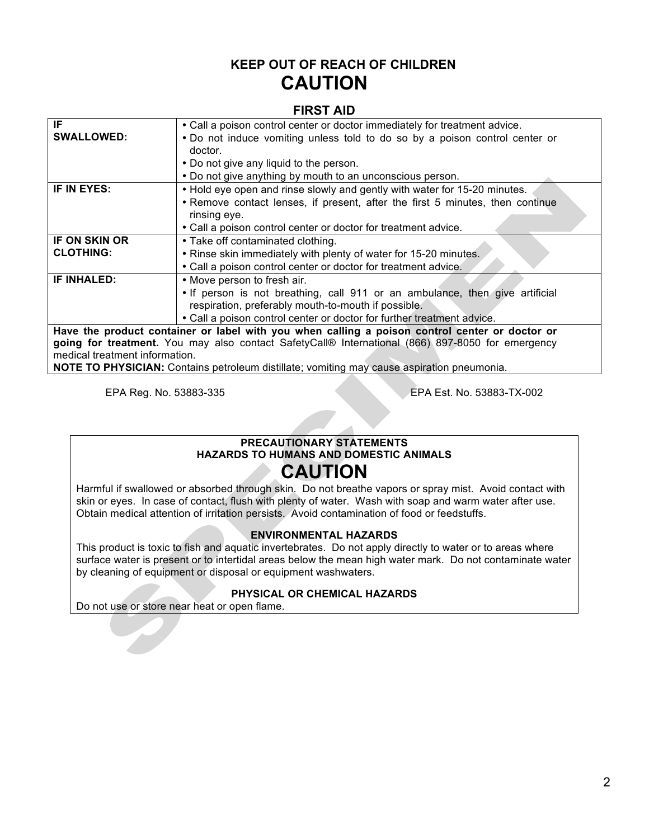### **KEEP OUT OF REACH OF CHILDREN CAUTION**

#### **FIRST AID**

| IF                                                                                               | • Call a poison control center or doctor immediately for treatment advice.                |  |  |  |
|--------------------------------------------------------------------------------------------------|-------------------------------------------------------------------------------------------|--|--|--|
| <b>SWALLOWED:</b>                                                                                | • Do not induce vomiting unless told to do so by a poison control center or               |  |  |  |
|                                                                                                  | doctor.                                                                                   |  |  |  |
|                                                                                                  | • Do not give any liquid to the person.                                                   |  |  |  |
|                                                                                                  | • Do not give anything by mouth to an unconscious person.                                 |  |  |  |
| IF IN EYES:                                                                                      | . Hold eye open and rinse slowly and gently with water for 15-20 minutes.                 |  |  |  |
|                                                                                                  | • Remove contact lenses, if present, after the first 5 minutes, then continue             |  |  |  |
|                                                                                                  | rinsing eye.                                                                              |  |  |  |
|                                                                                                  | • Call a poison control center or doctor for treatment advice.                            |  |  |  |
| <b>IF ON SKIN OR</b>                                                                             | • Take off contaminated clothing.                                                         |  |  |  |
| <b>CLOTHING:</b>                                                                                 | . Rinse skin immediately with plenty of water for 15-20 minutes.                          |  |  |  |
|                                                                                                  | • Call a poison control center or doctor for treatment advice.                            |  |  |  |
| IF INHALED:                                                                                      | • Move person to fresh air.                                                               |  |  |  |
|                                                                                                  | • If person is not breathing, call 911 or an ambulance, then give artificial              |  |  |  |
|                                                                                                  | respiration, preferably mouth-to-mouth if possible.                                       |  |  |  |
|                                                                                                  | • Call a poison control center or doctor for further treatment advice.                    |  |  |  |
| Have the product container or label with you when calling a poison control center or doctor or   |                                                                                           |  |  |  |
| going for treatment. You may also contact SafetyCall® International (866) 897-8050 for emergency |                                                                                           |  |  |  |
| medical treatment information.                                                                   |                                                                                           |  |  |  |
|                                                                                                  | NOTE TO DUVEICLAN: Containe petroleum dietillate: vemiting may equae coniration proumanio |  |  |  |

**NOTE TO PHYSICIAN:** Contains petroleum distillate; vomiting may cause aspiration pneumonia.

EPA Reg. No. 53883-335 EPA Est. No. 53883-TX-002

#### **PRECAUTIONARY STATEMENTS HAZARDS TO HUMANS AND DOMESTIC ANIMALS**

# **CAUTION**

Harmful if swallowed or absorbed through skin. Do not breathe vapors or spray mist. Avoid contact with skin or eyes. In case of contact, flush with plenty of water. Wash with soap and warm water after use. Obtain medical attention of irritation persists. Avoid contamination of food or feedstuffs.

#### **ENVIRONMENTAL HAZARDS**

This product is toxic to fish and aquatic invertebrates. Do not apply directly to water or to areas where surface water is present or to intertidal areas below the mean high water mark. Do not contaminate water by cleaning of equipment or disposal or equipment washwaters.

#### **PHYSICAL OR CHEMICAL HAZARDS**

Do not use or store near heat or open flame.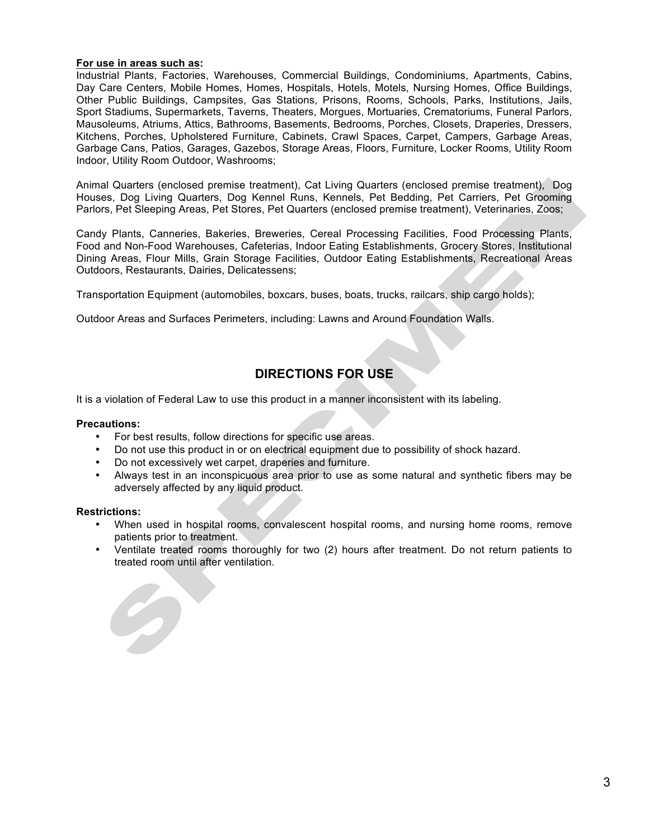#### **For use in areas such as:**

Industrial Plants, Factories, Warehouses, Commercial Buildings, Condominiums, Apartments, Cabins, Day Care Centers, Mobile Homes, Homes, Hospitals, Hotels, Motels, Nursing Homes, Office Buildings, Other Public Buildings, Campsites, Gas Stations, Prisons, Rooms, Schools, Parks, Institutions, Jails, Sport Stadiums, Supermarkets, Taverns, Theaters, Morgues, Mortuaries, Crematoriums, Funeral Parlors, Mausoleums, Atriums, Attics, Bathrooms, Basements, Bedrooms, Porches, Closets, Draperies, Dressers, Kitchens, Porches, Upholstered Furniture, Cabinets, Crawl Spaces, Carpet, Campers, Garbage Areas, Garbage Cans, Patios, Garages, Gazebos, Storage Areas, Floors, Furniture, Locker Rooms, Utility Room Indoor, Utility Room Outdoor, Washrooms;

Animal Quarters (enclosed premise treatment), Cat Living Quarters (enclosed premise treatment), Dog Houses, Dog Living Quarters, Dog Kennel Runs, Kennels, Pet Bedding, Pet Carriers, Pet Grooming Parlors, Pet Sleeping Areas, Pet Stores, Pet Quarters (enclosed premise treatment), Veterinaries, Zoos;

Candy Plants, Canneries, Bakeries, Breweries, Cereal Processing Facilities, Food Processing Plants, Food and Non-Food Warehouses, Cafeterias, Indoor Eating Establishments, Grocery Stores, Institutional Dining Areas, Flour Mills, Grain Storage Facilities, Outdoor Eating Establishments, Recreational Areas Outdoors, Restaurants, Dairies, Delicatessens;

Transportation Equipment (automobiles, boxcars, buses, boats, trucks, railcars, ship cargo holds);

Outdoor Areas and Surfaces Perimeters, including: Lawns and Around Foundation Walls.

### **DIRECTIONS FOR USE**

It is a violation of Federal Law to use this product in a manner inconsistent with its labeling.

#### **Precautions:**

- For best results, follow directions for specific use areas.
- Do not use this product in or on electrical equipment due to possibility of shock hazard.
- Do not excessively wet carpet, draperies and furniture.
- Always test in an inconspicuous area prior to use as some natural and synthetic fibers may be adversely affected by any liquid product.

#### **Restrictions:**

- When used in hospital rooms, convalescent hospital rooms, and nursing home rooms, remove patients prior to treatment.
- Ventilate treated rooms thoroughly for two (2) hours after treatment. Do not return patients to treated room until after ventilation.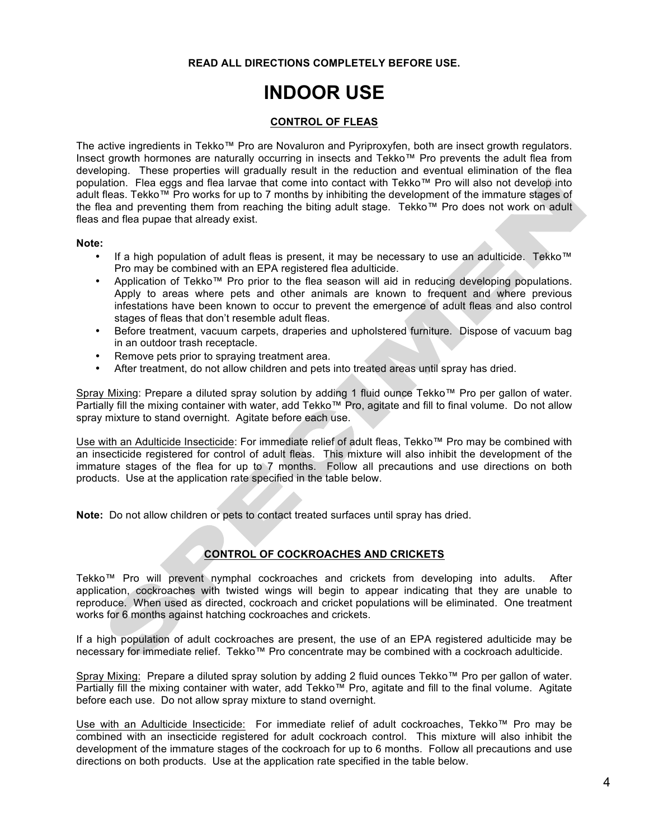#### **READ ALL DIRECTIONS COMPLETELY BEFORE USE.**

# **INDOOR USE**

#### **CONTROL OF FLEAS**

The active ingredients in Tekko™ Pro are Novaluron and Pyriproxyfen, both are insect growth regulators. Insect growth hormones are naturally occurring in insects and Tekko™ Pro prevents the adult flea from developing. These properties will gradually result in the reduction and eventual elimination of the flea population. Flea eggs and flea larvae that come into contact with Tekko™ Pro will also not develop into adult fleas. Tekko™ Pro works for up to 7 months by inhibiting the development of the immature stages of the flea and preventing them from reaching the biting adult stage. Tekko™ Pro does not work on adult fleas and flea pupae that already exist.

#### **Note:**

- If a high population of adult fleas is present, it may be necessary to use an adulticide. Tekko™ Pro may be combined with an EPA registered flea adulticide.
- Application of Tekko™ Pro prior to the flea season will aid in reducing developing populations. Apply to areas where pets and other animals are known to frequent and where previous infestations have been known to occur to prevent the emergence of adult fleas and also control stages of fleas that don't resemble adult fleas.
- Before treatment, vacuum carpets, draperies and upholstered furniture. Dispose of vacuum bag in an outdoor trash receptacle.
- Remove pets prior to spraying treatment area.
- After treatment, do not allow children and pets into treated areas until spray has dried.

Spray Mixing: Prepare a diluted spray solution by adding 1 fluid ounce Tekko™ Pro per gallon of water. Partially fill the mixing container with water, add Tekko™ Pro, agitate and fill to final volume. Do not allow spray mixture to stand overnight. Agitate before each use.

Use with an Adulticide Insecticide: For immediate relief of adult fleas, Tekko™ Pro may be combined with an insecticide registered for control of adult fleas. This mixture will also inhibit the development of the immature stages of the flea for up to 7 months. Follow all precautions and use directions on both products. Use at the application rate specified in the table below.

**Note:** Do not allow children or pets to contact treated surfaces until spray has dried.

#### **CONTROL OF COCKROACHES AND CRICKETS**

Tekko™ Pro will prevent nymphal cockroaches and crickets from developing into adults. After application, cockroaches with twisted wings will begin to appear indicating that they are unable to reproduce. When used as directed, cockroach and cricket populations will be eliminated. One treatment works for 6 months against hatching cockroaches and crickets.

If a high population of adult cockroaches are present, the use of an EPA registered adulticide may be necessary for immediate relief. Tekko™ Pro concentrate may be combined with a cockroach adulticide.

Spray Mixing: Prepare a diluted spray solution by adding 2 fluid ounces Tekko™ Pro per gallon of water. Partially fill the mixing container with water, add Tekko™ Pro, agitate and fill to the final volume. Agitate before each use. Do not allow spray mixture to stand overnight.

Use with an Adulticide Insecticide: For immediate relief of adult cockroaches, Tekko™ Pro may be combined with an insecticide registered for adult cockroach control. This mixture will also inhibit the development of the immature stages of the cockroach for up to 6 months. Follow all precautions and use directions on both products. Use at the application rate specified in the table below.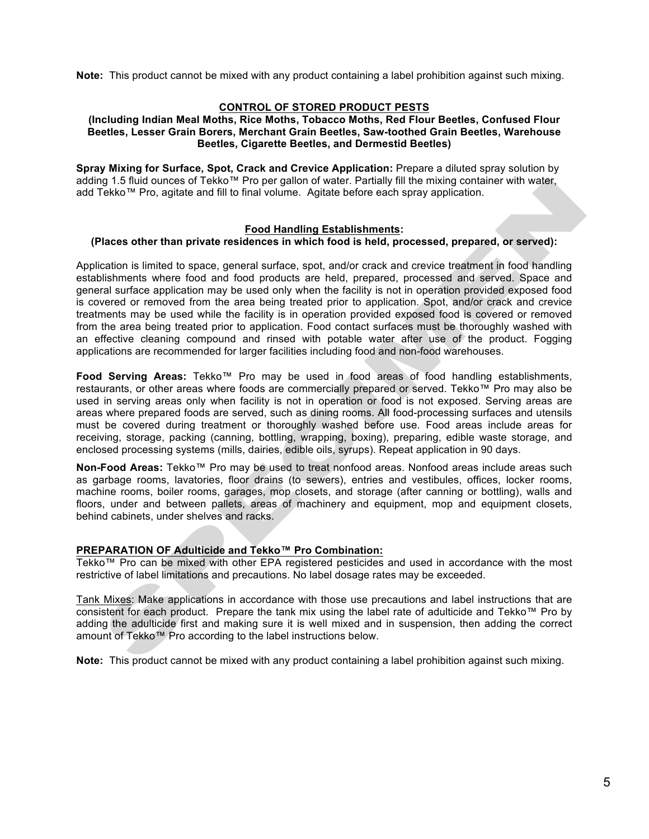**Note:** This product cannot be mixed with any product containing a label prohibition against such mixing.

#### **CONTROL OF STORED PRODUCT PESTS**

#### **(Including Indian Meal Moths, Rice Moths, Tobacco Moths, Red Flour Beetles, Confused Flour Beetles, Lesser Grain Borers, Merchant Grain Beetles, Saw-toothed Grain Beetles, Warehouse Beetles, Cigarette Beetles, and Dermestid Beetles)**

**Spray Mixing for Surface, Spot, Crack and Crevice Application:** Prepare a diluted spray solution by adding 1.5 fluid ounces of Tekko™ Pro per gallon of water. Partially fill the mixing container with water, add Tekko™ Pro, agitate and fill to final volume. Agitate before each spray application.

#### **Food Handling Establishments:**

#### **(Places other than private residences in which food is held, processed, prepared, or served):**

Application is limited to space, general surface, spot, and/or crack and crevice treatment in food handling establishments where food and food products are held, prepared, processed and served. Space and general surface application may be used only when the facility is not in operation provided exposed food is covered or removed from the area being treated prior to application. Spot, and/or crack and crevice treatments may be used while the facility is in operation provided exposed food is covered or removed from the area being treated prior to application. Food contact surfaces must be thoroughly washed with an effective cleaning compound and rinsed with potable water after use of the product. Fogging applications are recommended for larger facilities including food and non-food warehouses.

**Food Serving Areas:** Tekko™ Pro may be used in food areas of food handling establishments, restaurants, or other areas where foods are commercially prepared or served. Tekko™ Pro may also be used in serving areas only when facility is not in operation or food is not exposed. Serving areas are areas where prepared foods are served, such as dining rooms. All food-processing surfaces and utensils must be covered during treatment or thoroughly washed before use. Food areas include areas for receiving, storage, packing (canning, bottling, wrapping, boxing), preparing, edible waste storage, and enclosed processing systems (mills, dairies, edible oils, syrups). Repeat application in 90 days.

**Non-Food Areas:** Tekko™ Pro may be used to treat nonfood areas. Nonfood areas include areas such as garbage rooms, lavatories, floor drains (to sewers), entries and vestibules, offices, locker rooms, machine rooms, boiler rooms, garages, mop closets, and storage (after canning or bottling), walls and floors, under and between pallets, areas of machinery and equipment, mop and equipment closets, behind cabinets, under shelves and racks.

#### **PREPARATION OF Adulticide and Tekko™ Pro Combination:**

Tekko™ Pro can be mixed with other EPA registered pesticides and used in accordance with the most restrictive of label limitations and precautions. No label dosage rates may be exceeded.

Tank Mixes: Make applications in accordance with those use precautions and label instructions that are consistent for each product. Prepare the tank mix using the label rate of adulticide and Tekko™ Pro by adding the adulticide first and making sure it is well mixed and in suspension, then adding the correct amount of Tekko™ Pro according to the label instructions below.

**Note:** This product cannot be mixed with any product containing a label prohibition against such mixing.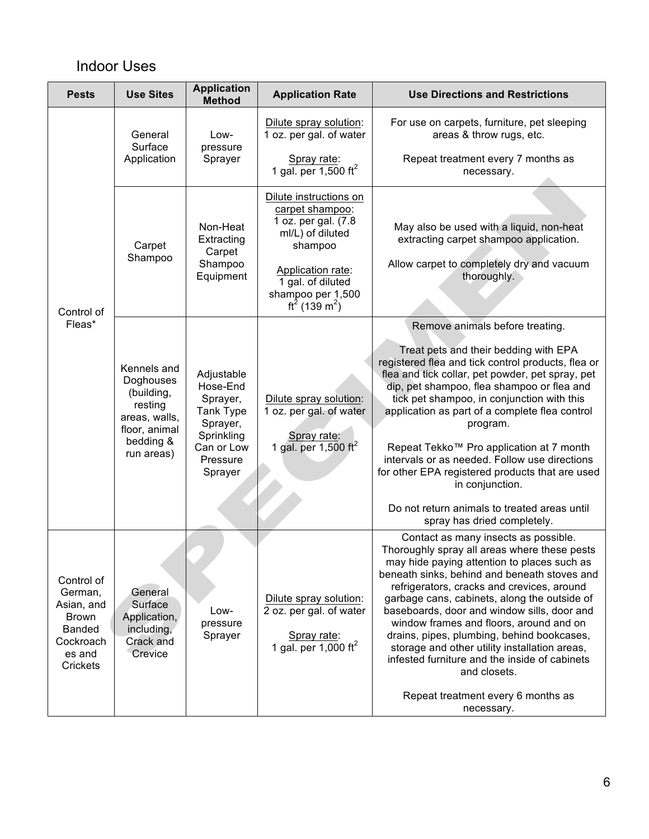## Indoor Uses

| <b>Pests</b>                                                                                            | <b>Use Sites</b>                                                                                               | <b>Application</b><br><b>Method</b>                                                                            | <b>Application Rate</b>                                                                                                                                                                                 | <b>Use Directions and Restrictions</b>                                                                                                                                                                                                                                                                                                                                                                                                                                                                                                                                                          |  |
|---------------------------------------------------------------------------------------------------------|----------------------------------------------------------------------------------------------------------------|----------------------------------------------------------------------------------------------------------------|---------------------------------------------------------------------------------------------------------------------------------------------------------------------------------------------------------|-------------------------------------------------------------------------------------------------------------------------------------------------------------------------------------------------------------------------------------------------------------------------------------------------------------------------------------------------------------------------------------------------------------------------------------------------------------------------------------------------------------------------------------------------------------------------------------------------|--|
| Control of<br>Fleas*                                                                                    | General<br>Surface<br>Application                                                                              | Low-<br>pressure<br>Sprayer                                                                                    | Dilute spray solution:<br>1 oz. per gal. of water<br>Spray rate:<br>1 gal. per 1,500 $\text{ft}^2$                                                                                                      | For use on carpets, furniture, pet sleeping<br>areas & throw rugs, etc.<br>Repeat treatment every 7 months as<br>necessary.                                                                                                                                                                                                                                                                                                                                                                                                                                                                     |  |
|                                                                                                         | Carpet<br>Shampoo                                                                                              | Non-Heat<br>Extracting<br>Carpet<br>Shampoo<br>Equipment                                                       | Dilute instructions on<br>carpet shampoo:<br>1 oz. per gal. (7.8<br>ml/L) of diluted<br>shampoo<br>Application rate:<br>1 gal. of diluted<br>shampoo per 1,500<br>ft <sup>2</sup> (139 m <sup>2</sup> ) | May also be used with a liquid, non-heat<br>extracting carpet shampoo application.<br>Allow carpet to completely dry and vacuum<br>thoroughly.                                                                                                                                                                                                                                                                                                                                                                                                                                                  |  |
|                                                                                                         | Kennels and<br>Doghouses<br>(building,<br>resting<br>areas, walls,<br>floor, animal<br>bedding &<br>run areas) | Adjustable<br>Hose-End<br>Sprayer,<br>Tank Type<br>Sprayer,<br>Sprinkling<br>Can or Low<br>Pressure<br>Sprayer | Dilute spray solution:<br>1 oz. per gal. of water<br>Spray rate:<br>1 gal. per 1,500 $ft^2$                                                                                                             | Remove animals before treating.<br>Treat pets and their bedding with EPA<br>registered flea and tick control products, flea or<br>flea and tick collar, pet powder, pet spray, pet<br>dip, pet shampoo, flea shampoo or flea and<br>tick pet shampoo, in conjunction with this<br>application as part of a complete flea control<br>program.<br>Repeat Tekko™ Pro application at 7 month<br>intervals or as needed. Follow use directions<br>for other EPA registered products that are used<br>in conjunction.<br>Do not return animals to treated areas until<br>spray has dried completely.  |  |
| Control of<br>German,<br>Asian, and<br><b>Brown</b><br><b>Banded</b><br>Cockroach<br>es and<br>Crickets | General<br>Surface<br>Application,<br>including,<br>Crack and<br>Crevice                                       | Low-<br>pressure<br>Sprayer                                                                                    | Dilute spray solution:<br>2 oz. per gal. of water<br>Spray rate:<br>1 gal. per 1,000 ft <sup>2</sup>                                                                                                    | Contact as many insects as possible.<br>Thoroughly spray all areas where these pests<br>may hide paying attention to places such as<br>beneath sinks, behind and beneath stoves and<br>refrigerators, cracks and crevices, around<br>garbage cans, cabinets, along the outside of<br>baseboards, door and window sills, door and<br>window frames and floors, around and on<br>drains, pipes, plumbing, behind bookcases,<br>storage and other utility installation areas,<br>infested furniture and the inside of cabinets<br>and closets.<br>Repeat treatment every 6 months as<br>necessary. |  |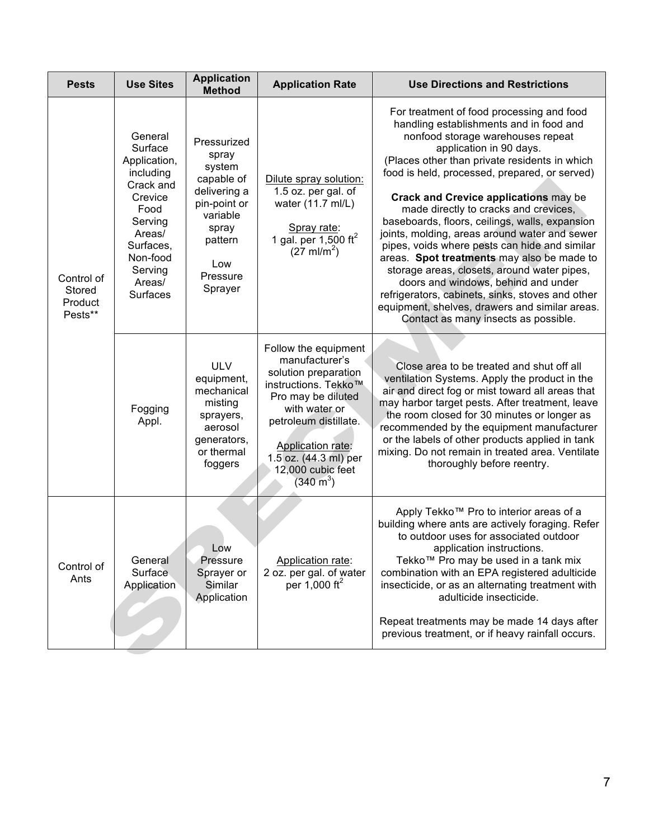| <b>Pests</b>                                                                                                                          | <b>Use Sites</b>                                                                                                                                               | <b>Application</b><br><b>Method</b>                                                                                                                                                                                                              | <b>Application Rate</b>                                                                                                                                                                                                                                                                                                                                                                                                            | <b>Use Directions and Restrictions</b>                                                                                                                                                                                                                                                                                                                                                                                                                                                                                                                                                                                                                                                                                                                                                |  |
|---------------------------------------------------------------------------------------------------------------------------------------|----------------------------------------------------------------------------------------------------------------------------------------------------------------|--------------------------------------------------------------------------------------------------------------------------------------------------------------------------------------------------------------------------------------------------|------------------------------------------------------------------------------------------------------------------------------------------------------------------------------------------------------------------------------------------------------------------------------------------------------------------------------------------------------------------------------------------------------------------------------------|---------------------------------------------------------------------------------------------------------------------------------------------------------------------------------------------------------------------------------------------------------------------------------------------------------------------------------------------------------------------------------------------------------------------------------------------------------------------------------------------------------------------------------------------------------------------------------------------------------------------------------------------------------------------------------------------------------------------------------------------------------------------------------------|--|
| Control of<br>Stored<br>Product<br>Pests**                                                                                            | General<br>Surface<br>Application,<br>including<br>Crack and<br>Crevice<br>Food<br>Serving<br>Areas/<br>Surfaces,<br>Non-food<br>Serving<br>Areas/<br>Surfaces | Pressurized<br>spray<br>system<br>capable of<br>delivering a<br>pin-point or<br>variable<br>spray<br>pattern<br>Low<br>Pressure<br>Sprayer                                                                                                       | Dilute spray solution:<br>1.5 oz. per gal. of<br>water (11.7 ml/L)<br>Spray rate:<br>1 gal. per 1,500 $\text{ft}^2$<br>$(27 \text{ ml/m}^2)$                                                                                                                                                                                                                                                                                       | For treatment of food processing and food<br>handling establishments and in food and<br>nonfood storage warehouses repeat<br>application in 90 days.<br>(Places other than private residents in which<br>food is held, processed, prepared, or served)<br><b>Crack and Crevice applications may be</b><br>made directly to cracks and crevices,<br>baseboards, floors, ceilings, walls, expansion<br>joints, molding, areas around water and sewer<br>pipes, voids where pests can hide and similar<br>areas. Spot treatments may also be made to<br>storage areas, closets, around water pipes,<br>doors and windows, behind and under<br>refrigerators, cabinets, sinks, stoves and other<br>equipment, shelves, drawers and similar areas.<br>Contact as many insects as possible. |  |
| <b>ULV</b><br>equipment,<br>mechanical<br>misting<br>Fogging<br>sprayers,<br>Appl.<br>aerosol<br>generators,<br>or thermal<br>foggers |                                                                                                                                                                | Follow the equipment<br>manufacturer's<br>solution preparation<br>instructions. Tekko™<br>Pro may be diluted<br>with water or<br>petroleum distillate.<br>Application rate:<br>1.5 oz. (44.3 ml) per<br>12,000 cubic feet<br>$(340 \text{ m}^3)$ | Close area to be treated and shut off all<br>ventilation Systems. Apply the product in the<br>air and direct fog or mist toward all areas that<br>may harbor target pests. After treatment, leave<br>the room closed for 30 minutes or longer as<br>recommended by the equipment manufacturer<br>or the labels of other products applied in tank<br>mixing. Do not remain in treated area. Ventilate<br>thoroughly before reentry. |                                                                                                                                                                                                                                                                                                                                                                                                                                                                                                                                                                                                                                                                                                                                                                                       |  |
| Control of<br>Ants                                                                                                                    | General<br>Surface<br>Application                                                                                                                              | LOW<br>Pressure<br>Sprayer or<br>Similar<br>Application                                                                                                                                                                                          | Application rate:<br>2 oz. per gal. of water<br>per 1,000 ft <sup>2</sup>                                                                                                                                                                                                                                                                                                                                                          | Apply Tekko™ Pro to interior areas of a<br>building where ants are actively foraging. Refer<br>to outdoor uses for associated outdoor<br>application instructions.<br>Tekko™ Pro may be used in a tank mix<br>combination with an EPA registered adulticide<br>insecticide, or as an alternating treatment with<br>adulticide insecticide.<br>Repeat treatments may be made 14 days after<br>previous treatment, or if heavy rainfall occurs.                                                                                                                                                                                                                                                                                                                                         |  |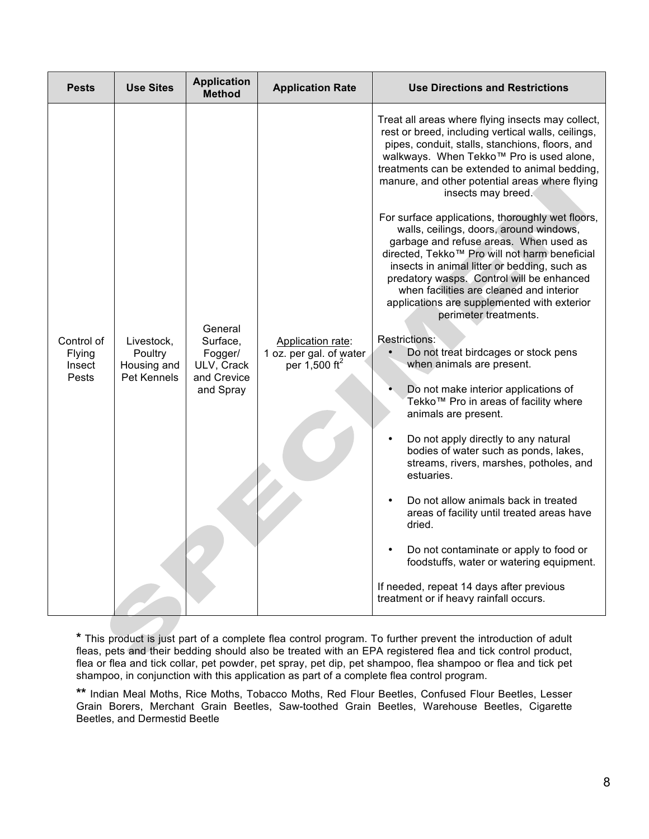| <b>Pests</b>                            | <b>Use Sites</b>                                           | <b>Application</b><br><b>Method</b>                                      | <b>Application Rate</b>                                                     | <b>Use Directions and Restrictions</b>                                                                                                                                                                                                                                                                                                                                                                                                                                                                                                                                                                                                                                                                                                                                                                                                                                                                                                                                                                                                                                                                                                                                                                                                                                                                                                                                 |
|-----------------------------------------|------------------------------------------------------------|--------------------------------------------------------------------------|-----------------------------------------------------------------------------|------------------------------------------------------------------------------------------------------------------------------------------------------------------------------------------------------------------------------------------------------------------------------------------------------------------------------------------------------------------------------------------------------------------------------------------------------------------------------------------------------------------------------------------------------------------------------------------------------------------------------------------------------------------------------------------------------------------------------------------------------------------------------------------------------------------------------------------------------------------------------------------------------------------------------------------------------------------------------------------------------------------------------------------------------------------------------------------------------------------------------------------------------------------------------------------------------------------------------------------------------------------------------------------------------------------------------------------------------------------------|
| Control of<br>Flying<br>Insect<br>Pests | Livestock,<br>Poultry<br>Housing and<br><b>Pet Kennels</b> | General<br>Surface.<br>Fogger/<br>ULV, Crack<br>and Crevice<br>and Spray | Application rate:<br>1 oz. per gal. of water<br>per $1,500$ ft <sup>2</sup> | Treat all areas where flying insects may collect,<br>rest or breed, including vertical walls, ceilings,<br>pipes, conduit, stalls, stanchions, floors, and<br>walkways. When Tekko™ Pro is used alone,<br>treatments can be extended to animal bedding,<br>manure, and other potential areas where flying<br>insects may breed.<br>For surface applications, thoroughly wet floors,<br>walls, ceilings, doors, around windows,<br>garbage and refuse areas. When used as<br>directed, Tekko™ Pro will not harm beneficial<br>insects in animal litter or bedding, such as<br>predatory wasps. Control will be enhanced<br>when facilities are cleaned and interior<br>applications are supplemented with exterior<br>perimeter treatments.<br><b>Restrictions:</b><br>Do not treat birdcages or stock pens<br>when animals are present.<br>Do not make interior applications of<br>Tekko™ Pro in areas of facility where<br>animals are present.<br>Do not apply directly to any natural<br>bodies of water such as ponds, lakes,<br>streams, rivers, marshes, potholes, and<br>estuaries.<br>Do not allow animals back in treated<br>areas of facility until treated areas have<br>dried.<br>Do not contaminate or apply to food or<br>foodstuffs, water or watering equipment.<br>If needed, repeat 14 days after previous<br>treatment or if heavy rainfall occurs. |

**\*** This product is just part of a complete flea control program. To further prevent the introduction of adult fleas, pets and their bedding should also be treated with an EPA registered flea and tick control product, flea or flea and tick collar, pet powder, pet spray, pet dip, pet shampoo, flea shampoo or flea and tick pet shampoo, in conjunction with this application as part of a complete flea control program.

**\*\*** Indian Meal Moths, Rice Moths, Tobacco Moths, Red Flour Beetles, Confused Flour Beetles, Lesser Grain Borers, Merchant Grain Beetles, Saw-toothed Grain Beetles, Warehouse Beetles, Cigarette Beetles, and Dermestid Beetle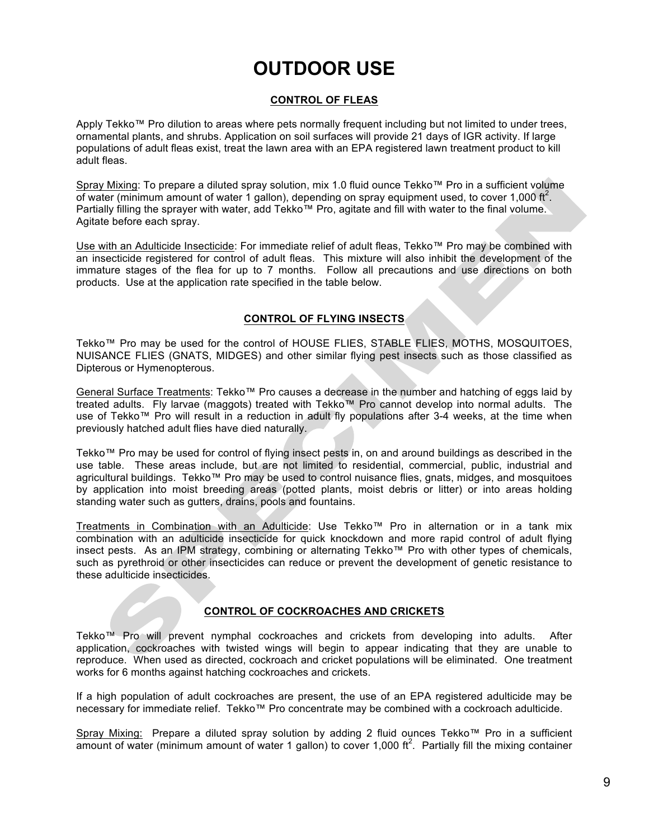# **OUTDOOR USE**

#### **CONTROL OF FLEAS**

Apply Tekko™ Pro dilution to areas where pets normally frequent including but not limited to under trees, ornamental plants, and shrubs. Application on soil surfaces will provide 21 days of IGR activity. If large populations of adult fleas exist, treat the lawn area with an EPA registered lawn treatment product to kill adult fleas.

Spray Mixing: To prepare a diluted spray solution, mix 1.0 fluid ounce Tekko™ Pro in a sufficient volume of water (minimum amount of water 1 gallon), depending on spray equipment used, to cover 1,000 ft<sup>2</sup>. Partially filling the sprayer with water, add Tekko™ Pro, agitate and fill with water to the final volume. Agitate before each spray.

Use with an Adulticide Insecticide: For immediate relief of adult fleas, Tekko™ Pro may be combined with an insecticide registered for control of adult fleas. This mixture will also inhibit the development of the immature stages of the flea for up to 7 months. Follow all precautions and use directions on both products. Use at the application rate specified in the table below.

#### **CONTROL OF FLYING INSECTS**

Tekko™ Pro may be used for the control of HOUSE FLIES, STABLE FLIES, MOTHS, MOSQUITOES, NUISANCE FLIES (GNATS, MIDGES) and other similar flying pest insects such as those classified as Dipterous or Hymenopterous.

General Surface Treatments: Tekko™ Pro causes a decrease in the number and hatching of eggs laid by treated adults. Fly larvae (maggots) treated with Tekko™ Pro cannot develop into normal adults. The use of Tekko™ Pro will result in a reduction in adult fly populations after 3-4 weeks, at the time when previously hatched adult flies have died naturally.

Tekko™ Pro may be used for control of flying insect pests in, on and around buildings as described in the use table. These areas include, but are not limited to residential, commercial, public, industrial and agricultural buildings. Tekko™ Pro may be used to control nuisance flies, gnats, midges, and mosquitoes by application into moist breeding areas (potted plants, moist debris or litter) or into areas holding standing water such as gutters, drains, pools and fountains.

Treatments in Combination with an Adulticide: Use Tekko™ Pro in alternation or in a tank mix combination with an adulticide insecticide for quick knockdown and more rapid control of adult flying insect pests. As an IPM strategy, combining or alternating Tekko™ Pro with other types of chemicals, such as pyrethroid or other insecticides can reduce or prevent the development of genetic resistance to these adulticide insecticides.

#### **CONTROL OF COCKROACHES AND CRICKETS**

Tekko™ Pro will prevent nymphal cockroaches and crickets from developing into adults. After application, cockroaches with twisted wings will begin to appear indicating that they are unable to reproduce. When used as directed, cockroach and cricket populations will be eliminated. One treatment works for 6 months against hatching cockroaches and crickets.

If a high population of adult cockroaches are present, the use of an EPA registered adulticide may be necessary for immediate relief. Tekko™ Pro concentrate may be combined with a cockroach adulticide.

Spray Mixing: Prepare a diluted spray solution by adding 2 fluid ounces Tekko™ Pro in a sufficient amount of water (minimum amount of water 1 gallon) to cover 1,000 ft<sup>2</sup>. Partially fill the mixing container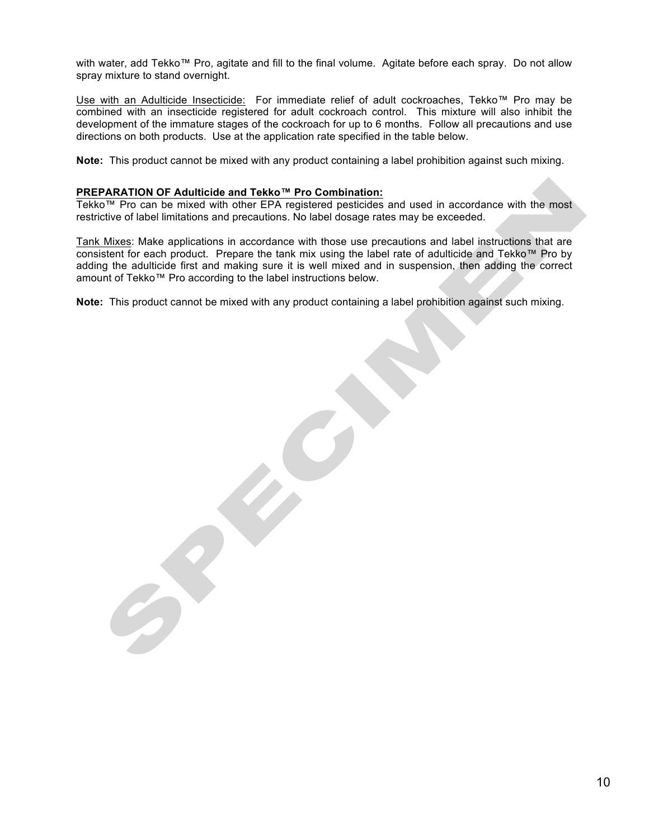with water, add Tekko™ Pro, agitate and fill to the final volume. Agitate before each spray. Do not allow spray mixture to stand overnight.

Use with an Adulticide Insecticide: For immediate relief of adult cockroaches, Tekko™ Pro may be combined with an insecticide registered for adult cockroach control. This mixture will also inhibit the development of the immature stages of the cockroach for up to 6 months. Follow all precautions and use directions on both products. Use at the application rate specified in the table below.

**Note:** This product cannot be mixed with any product containing a label prohibition against such mixing.

#### **PREPARATION OF Adulticide and Tekko™ Pro Combination:**

Tekko™ Pro can be mixed with other EPA registered pesticides and used in accordance with the most restrictive of label limitations and precautions. No label dosage rates may be exceeded.

Tank Mixes: Make applications in accordance with those use precautions and label instructions that are consistent for each product. Prepare the tank mix using the label rate of adulticide and Tekko™ Pro by adding the adulticide first and making sure it is well mixed and in suspension, then adding the correct amount of Tekko™ Pro according to the label instructions below.

**Note:** This product cannot be mixed with any product containing a label prohibition against such mixing.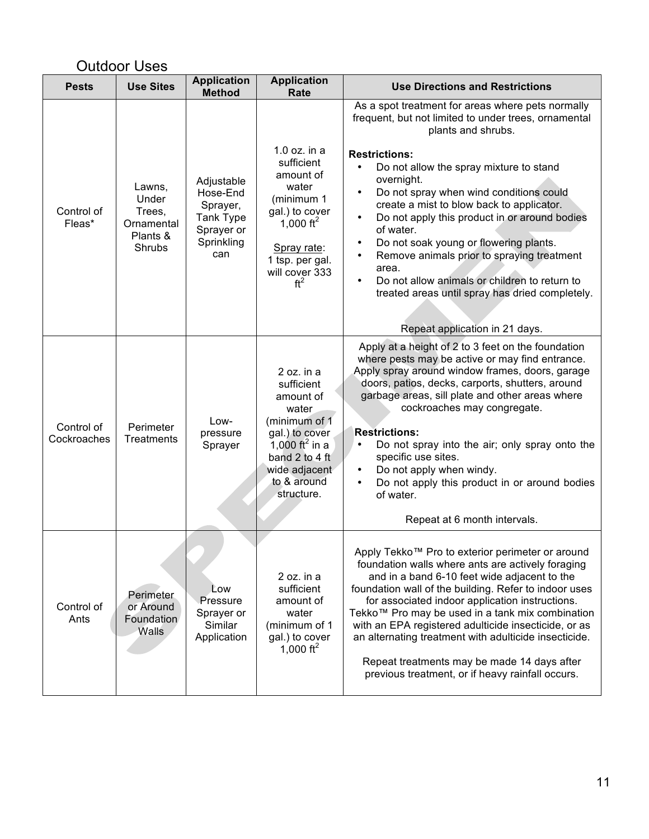| <b>Outdoor Uses</b>       |                                                               |                                                                                    |                                                                                                                                                                                 |                                                                                                                                                                                                                                                                                                                                                                                                                                                                                                                                                                                                                                                                                             |
|---------------------------|---------------------------------------------------------------|------------------------------------------------------------------------------------|---------------------------------------------------------------------------------------------------------------------------------------------------------------------------------|---------------------------------------------------------------------------------------------------------------------------------------------------------------------------------------------------------------------------------------------------------------------------------------------------------------------------------------------------------------------------------------------------------------------------------------------------------------------------------------------------------------------------------------------------------------------------------------------------------------------------------------------------------------------------------------------|
| <b>Pests</b>              | <b>Use Sites</b>                                              | <b>Application</b><br><b>Method</b>                                                | <b>Application</b><br>Rate                                                                                                                                                      | <b>Use Directions and Restrictions</b>                                                                                                                                                                                                                                                                                                                                                                                                                                                                                                                                                                                                                                                      |
| Control of<br>Fleas*      | Lawns,<br>Under<br>Trees,<br>Ornamental<br>Plants &<br>Shrubs | Adjustable<br>Hose-End<br>Sprayer,<br>Tank Type<br>Sprayer or<br>Sprinkling<br>can | $1.0$ oz. in a<br>sufficient<br>amount of<br>water<br>(minimum 1<br>gal.) to cover<br>1,000 ft <sup>2</sup><br>Spray rate:<br>1 tsp. per gal.<br>will cover 333<br>$ft^2$       | As a spot treatment for areas where pets normally<br>frequent, but not limited to under trees, ornamental<br>plants and shrubs.<br><b>Restrictions:</b><br>Do not allow the spray mixture to stand<br>$\bullet$<br>overnight.<br>Do not spray when wind conditions could<br>$\bullet$<br>create a mist to blow back to applicator.<br>Do not apply this product in or around bodies<br>$\bullet$<br>of water.<br>Do not soak young or flowering plants.<br>$\bullet$<br>Remove animals prior to spraying treatment<br>$\bullet$<br>area.<br>Do not allow animals or children to return to<br>$\bullet$<br>treated areas until spray has dried completely.<br>Repeat application in 21 days. |
| Control of<br>Cockroaches | Perimeter<br>Treatments                                       | Low-<br>pressure<br>Sprayer                                                        | 2 oz. in a<br>sufficient<br>amount of<br>water<br>(minimum of 1<br>gal.) to cover<br>1,000 ft <sup>2</sup> in a<br>band 2 to 4 ft<br>wide adjacent<br>to & around<br>structure. | Apply at a height of 2 to 3 feet on the foundation<br>where pests may be active or may find entrance.<br>Apply spray around window frames, doors, garage<br>doors, patios, decks, carports, shutters, around<br>garbage areas, sill plate and other areas where<br>cockroaches may congregate.<br><b>Restrictions:</b><br>Do not spray into the air; only spray onto the<br>$\bullet$<br>specific use sites.<br>Do not apply when windy.<br>$\bullet$<br>Do not apply this product in or around bodies<br>$\bullet$<br>of water.<br>Repeat at 6 month intervals.                                                                                                                            |
| Control of<br>Ants        | Perimeter<br>or Around<br>Foundation<br>Walls                 | Low<br>Pressure<br>Sprayer or<br>Similar<br>Application                            | 2 oz. in a<br>sufficient<br>amount of<br>water<br>(minimum of 1<br>gal.) to cover<br>1,000 ft <sup>2</sup>                                                                      | Apply Tekko™ Pro to exterior perimeter or around<br>foundation walls where ants are actively foraging<br>and in a band 6-10 feet wide adjacent to the<br>foundation wall of the building. Refer to indoor uses<br>for associated indoor application instructions.<br>Tekko™ Pro may be used in a tank mix combination<br>with an EPA registered adulticide insecticide, or as<br>an alternating treatment with adulticide insecticide.<br>Repeat treatments may be made 14 days after<br>previous treatment, or if heavy rainfall occurs.                                                                                                                                                   |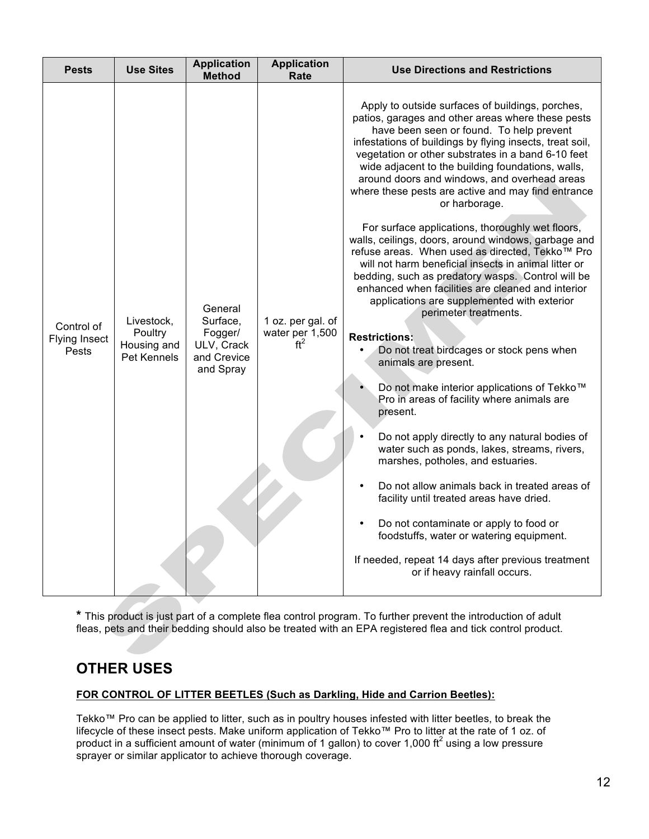| <b>Pests</b>                         | <b>Use Sites</b>                                    | <b>Application</b><br><b>Method</b>                                      | <b>Application</b><br>Rate                              | <b>Use Directions and Restrictions</b>                                                                                                                                                                                                                                                                                                                                                                                                                                                                                                                                                                                                                                                                                                                                                                                                                                                                                                                                                                                                                                                                                                                                                                                                                                                                                                                                                                                                                                        |
|--------------------------------------|-----------------------------------------------------|--------------------------------------------------------------------------|---------------------------------------------------------|-------------------------------------------------------------------------------------------------------------------------------------------------------------------------------------------------------------------------------------------------------------------------------------------------------------------------------------------------------------------------------------------------------------------------------------------------------------------------------------------------------------------------------------------------------------------------------------------------------------------------------------------------------------------------------------------------------------------------------------------------------------------------------------------------------------------------------------------------------------------------------------------------------------------------------------------------------------------------------------------------------------------------------------------------------------------------------------------------------------------------------------------------------------------------------------------------------------------------------------------------------------------------------------------------------------------------------------------------------------------------------------------------------------------------------------------------------------------------------|
| Control of<br>Flying Insect<br>Pests | Livestock,<br>Poultry<br>Housing and<br>Pet Kennels | General<br>Surface,<br>Fogger/<br>ULV, Crack<br>and Crevice<br>and Spray | 1 oz. per gal. of<br>water per 1,500<br>ft <sup>2</sup> | Apply to outside surfaces of buildings, porches,<br>patios, garages and other areas where these pests<br>have been seen or found. To help prevent<br>infestations of buildings by flying insects, treat soil,<br>vegetation or other substrates in a band 6-10 feet<br>wide adjacent to the building foundations, walls,<br>around doors and windows, and overhead areas<br>where these pests are active and may find entrance<br>or harborage.<br>For surface applications, thoroughly wet floors,<br>walls, ceilings, doors, around windows, garbage and<br>refuse areas. When used as directed, Tekko™ Pro<br>will not harm beneficial insects in animal litter or<br>bedding, such as predatory wasps. Control will be<br>enhanced when facilities are cleaned and interior<br>applications are supplemented with exterior<br>perimeter treatments.<br><b>Restrictions:</b><br>Do not treat birdcages or stock pens when<br>animals are present.<br>Do not make interior applications of Tekko™<br>Pro in areas of facility where animals are<br>present.<br>Do not apply directly to any natural bodies of<br>water such as ponds, lakes, streams, rivers,<br>marshes, potholes, and estuaries.<br>Do not allow animals back in treated areas of<br>facility until treated areas have dried.<br>Do not contaminate or apply to food or<br>foodstuffs, water or watering equipment.<br>If needed, repeat 14 days after previous treatment<br>or if heavy rainfall occurs. |

**\*** This product is just part of a complete flea control program. To further prevent the introduction of adult fleas, pets and their bedding should also be treated with an EPA registered flea and tick control product.

### **OTHER USES**

#### **FOR CONTROL OF LITTER BEETLES (Such as Darkling, Hide and Carrion Beetles):**

Tekko™ Pro can be applied to litter, such as in poultry houses infested with litter beetles, to break the lifecycle of these insect pests. Make uniform application of Tekko™ Pro to litter at the rate of 1 oz. of product in a sufficient amount of water (minimum of 1 gallon) to cover 1,000 ft<sup>2</sup> using a low pressure sprayer or similar applicator to achieve thorough coverage.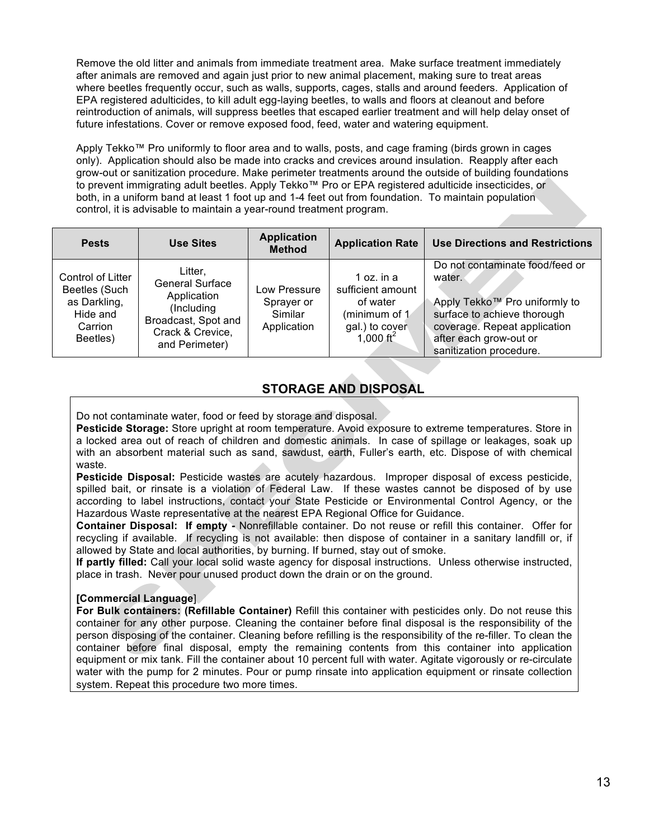Remove the old litter and animals from immediate treatment area. Make surface treatment immediately after animals are removed and again just prior to new animal placement, making sure to treat areas where beetles frequently occur, such as walls, supports, cages, stalls and around feeders. Application of EPA registered adulticides, to kill adult egg-laying beetles, to walls and floors at cleanout and before reintroduction of animals, will suppress beetles that escaped earlier treatment and will help delay onset of future infestations. Cover or remove exposed food, feed, water and watering equipment.

Apply Tekko™ Pro uniformly to floor area and to walls, posts, and cage framing (birds grown in cages only). Application should also be made into cracks and crevices around insulation. Reapply after each grow-out or sanitization procedure. Make perimeter treatments around the outside of building foundations to prevent immigrating adult beetles. Apply Tekko™ Pro or EPA registered adulticide insecticides, or both, in a uniform band at least 1 foot up and 1-4 feet out from foundation. To maintain population control, it is advisable to maintain a year-round treatment program.

| <b>Pests</b>                                                                          | <b>Use Sites</b>                                                                                                            | <b>Application</b><br><b>Method</b>                  | <b>Application Rate</b>                                                                                   | <b>Use Directions and Restrictions</b>                                                                                                                                                         |
|---------------------------------------------------------------------------------------|-----------------------------------------------------------------------------------------------------------------------------|------------------------------------------------------|-----------------------------------------------------------------------------------------------------------|------------------------------------------------------------------------------------------------------------------------------------------------------------------------------------------------|
| Control of Litter<br>Beetles (Such<br>as Darkling,<br>Hide and<br>Carrion<br>Beetles) | Litter.<br><b>General Surface</b><br>Application<br>(Including<br>Broadcast, Spot and<br>Crack & Crevice,<br>and Perimeter) | Low Pressure<br>Sprayer or<br>Similar<br>Application | 1 oz. in $a$<br>sufficient amount<br>of water<br>(minimum of 1<br>gal.) to cover<br>1,000 ft <sup>2</sup> | Do not contaminate food/feed or<br>water.<br>Apply Tekko™ Pro uniformly to<br>surface to achieve thorough<br>coverage. Repeat application<br>after each grow-out or<br>sanitization procedure. |

### **STORAGE AND DISPOSAL**

Do not contaminate water, food or feed by storage and disposal.

**Pesticide Storage:** Store upright at room temperature. Avoid exposure to extreme temperatures. Store in a locked area out of reach of children and domestic animals. In case of spillage or leakages, soak up with an absorbent material such as sand, sawdust, earth, Fuller's earth, etc. Dispose of with chemical waste.

**Pesticide Disposal:** Pesticide wastes are acutely hazardous. Improper disposal of excess pesticide, spilled bait, or rinsate is a violation of Federal Law. If these wastes cannot be disposed of by use according to label instructions, contact your State Pesticide or Environmental Control Agency, or the Hazardous Waste representative at the nearest EPA Regional Office for Guidance.

**Container Disposal: If empty -** Nonrefillable container. Do not reuse or refill this container. Offer for recycling if available. If recycling is not available: then dispose of container in a sanitary landfill or, if allowed by State and local authorities, by burning. If burned, stay out of smoke.

**If partly filled:** Call your local solid waste agency for disposal instructions. Unless otherwise instructed, place in trash. Never pour unused product down the drain or on the ground.

#### **[Commercial Language**]

**For Bulk containers: (Refillable Container)** Refill this container with pesticides only. Do not reuse this container for any other purpose. Cleaning the container before final disposal is the responsibility of the person disposing of the container. Cleaning before refilling is the responsibility of the re-filler. To clean the container before final disposal, empty the remaining contents from this container into application equipment or mix tank. Fill the container about 10 percent full with water. Agitate vigorously or re-circulate water with the pump for 2 minutes. Pour or pump rinsate into application equipment or rinsate collection system. Repeat this procedure two more times.